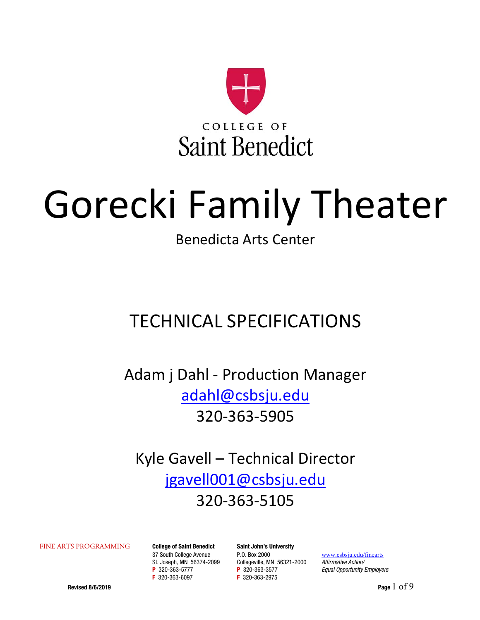

# Gorecki Family Theater

Benedicta Arts Center

## TECHNICAL SPECIFICATIONS

Adam j Dahl ‐ Production Manager adahl@csbsju.edu 320‐363‐5905

Kyle Gavell – Technical Director jgavell001@csbsju.edu 320‐363‐5105

FINE ARTS PROGRAMMING College of Saint Benedict Saint John's University<br>37 South College Avenue P.O. Box 2000 St. Joseph, MN 56374-2099 Collegeville, MN 56321-2000 Affirmative Action/ **P** 320-363-5777 **P** 320-363-3577 **P** 200-363-3577 *Equal Opportunity Employers* **F** 320-363-2975

F 320-363-2975

www.csbsju.edu/finearts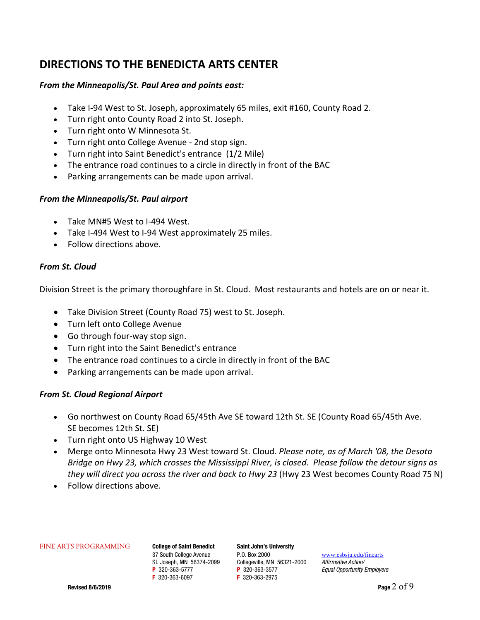### **DIRECTIONS TO THE BENEDICTA ARTS CENTER**

### *From the Minneapolis/St. Paul Area and points east:*

- Take I‐94 West to St. Joseph, approximately 65 miles, exit #160, County Road 2.
- Turn right onto County Road 2 into St. Joseph.
- Turn right onto W Minnesota St.
- Turn right onto College Avenue ‐ 2nd stop sign.
- Turn right into Saint Benedict's entrance (1/2 Mile)
- The entrance road continues to a circle in directly in front of the BAC
- Parking arrangements can be made upon arrival.

### *From the Minneapolis/St. Paul airport*

- Take MN#5 West to I-494 West.
- Take I‐494 West to I‐94 West approximately 25 miles.
- Follow directions above.

### *From St. Cloud*

Division Street is the primary thoroughfare in St. Cloud. Most restaurants and hotels are on or near it.

- Take Division Street (County Road 75) west to St. Joseph.
- Turn left onto College Avenue
- Go through four-way stop sign.
- Turn right into the Saint Benedict's entrance
- The entrance road continues to a circle in directly in front of the BAC
- Parking arrangements can be made upon arrival.

### *From St. Cloud Regional Airport*

- Go northwest on County Road 65/45th Ave SE toward 12th St. SE (County Road 65/45th Ave. SE becomes 12th St. SE)
- Turn right onto US Highway 10 West
- Merge onto Minnesota Hwy 23 West toward St. Cloud. *Please note, as of March '08, the Desota Bridge on Hwy 23, which crosses the Mississippi River, is closed. Please follow the detour signs as they will direct you across the river and back to Hwy 23* (Hwy 23 West becomes County Road 75 N)
- Follow directions above.

#### FINE ARTS PROGRAMMING College of Saint Benedict Saint John's University

37 South College Avenue P.O. Box 2000 www.csbsju.edu/finearts St. Joseph, MN 56374-2099 Collegeville, MN 56321-2000 Affirmative Action/ **P** 320-363-5777 **P** 320-363-3577 **P** 200-363-3577 *Equal Opportunity Employers* **F** 320-363-877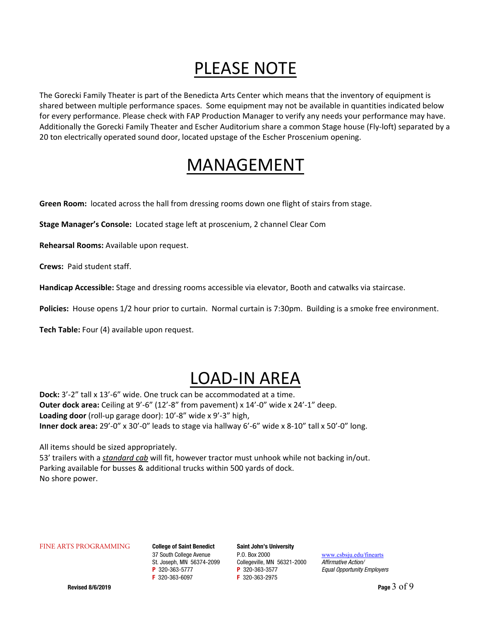## PLEASE NOTE

The Gorecki Family Theater is part of the Benedicta Arts Center which means that the inventory of equipment is shared between multiple performance spaces. Some equipment may not be available in quantities indicated below for every performance. Please check with FAP Production Manager to verify any needs your performance may have. Additionally the Gorecki Family Theater and Escher Auditorium share a common Stage house (Fly‐loft) separated by a 20 ton electrically operated sound door, located upstage of the Escher Proscenium opening.

## MANAGEMENT

Green Room: located across the hall from dressing rooms down one flight of stairs from stage.

**Stage Manager's Console:** Located stage left at proscenium, 2 channel Clear Com

**Rehearsal Rooms:** Available upon request.

**Crews:** Paid student staff.

**Handicap Accessible:** Stage and dressing rooms accessible via elevator, Booth and catwalks via staircase.

Policies: House opens 1/2 hour prior to curtain. Normal curtain is 7:30pm. Building is a smoke free environment.

**Tech Table:** Four (4) available upon request.

## LOAD‐IN AREA

**Dock:** 3'‐2" tall x 13'‐6" wide. One truck can be accommodated at a time. **Outer dock area:** Ceiling at 9'‐6" (12'‐8" from pavement) x 14'‐0" wide x 24'‐1" deep. **Loading door** (roll‐up garage door): 10'‐8" wide x 9'‐3" high, **Inner dock area:** 29'‐0" x 30'‐0" leads to stage via hallway 6'‐6" wide x 8‐10" tall x 50'‐0" long.

All items should be sized appropriately.

53' trailers with a *standard cab* will fit, however tractor must unhook while not backing in/out. Parking available for busses & additional trucks within 500 yards of dock. No shore power.

#### FINE ARTS PROGRAMMING College of Saint Benedict Saint John's University

37 South College Avenue P.O. Box 2000 www.csbsju.edu/finearts St. Joseph, MN 56374-2099 Collegeville, MN 56321-2000 Affirmative Action/ **P** 320-363-5777 **P** 320-363-3577 **P** 200-363-3577 *Equal Opportunity Employers* **F** 320-363-877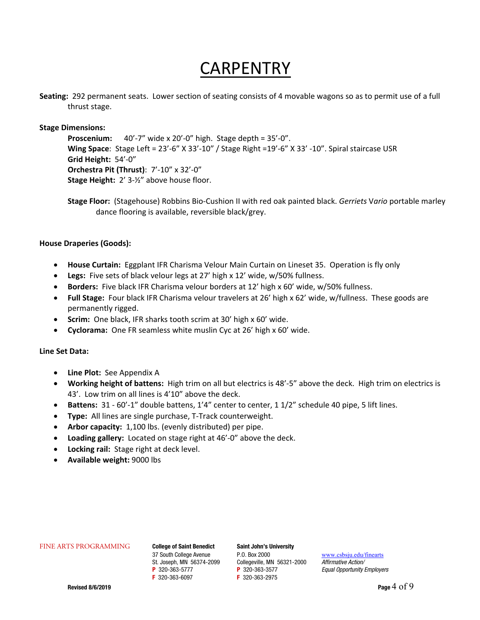## **CARPENTRY**

 **Seating:** 292 permanent seats. Lower section of seating consists of 4 movable wagons so as to permit use of a full thrust stage.

### **Stage Dimensions:**

**Proscenium:** 40'-7" wide x 20'-0" high. Stage depth = 35'-0". **Wing Space**: Stage Left = 23'‐6" X 33'‐10" / Stage Right =19'‐6" X 33' ‐10". Spiral staircase USR **Grid Height:** 54'‐0" **Orchestra Pit (Thrust)**: 7'‐10" x 32'‐0" **Stage Height:** 2' 3-1%" above house floor.

**Stage Floor:** (Stagehouse) Robbins Bio‐Cushion II with red oak painted black. *Gerriets* V*ario* portable marley dance flooring is available, reversible black/grey.

#### **House Draperies (Goods):**

- **House Curtain:** Eggplant IFR Charisma Velour Main Curtain on Lineset 35. Operation is fly only
- **Legs:** Five sets of black velour legs at 27' high x 12' wide, w/50% fullness.
- **Borders:** Five black IFR Charisma velour borders at 12' high x 60' wide, w/50% fullness.
- Full Stage: Four black IFR Charisma velour travelers at 26' high x 62' wide, w/fullness. These goods are permanently rigged.
- **Scrim:** One black, IFR sharks tooth scrim at 30' high x 60' wide.
- Cyclorama: One FR seamless white muslin Cyc at 26' high x 60' wide.

#### **Line Set Data:**

- Line Plot: See Appendix A
- **Working height of battens:** High trim on all but electrics is 48'‐5" above the deck. High trim on electrics is 43'. Low trim on all lines is 4'10" above the deck.
- Battens: 31 60'-1" double battens, 1'4" center to center, 1 1/2" schedule 40 pipe, 5 lift lines.
- **Type:** All lines are single purchase, T-Track counterweight.
- Arbor capacity: 1,100 lbs. (evenly distributed) per pipe.
- Loading gallery: Located on stage right at 46'-0" above the deck.
- Locking rail: Stage right at deck level.
- **Available weight:** 9000 lbs

#### FINE ARTS PROGRAMMING College of Saint Benedict Saint John's University

**P** 320-363-5777 **P** 320-363-3577 **P** 200-363-3577 *Equal Opportunity Employers* **F** 320-363-877

F 320-363-2975

37 South College Avenue P.O. Box 2000 www.csbsju.edu/finearts St. Joseph, MN 56374-2099 Collegeville, MN 56321-2000 Affirmative Action/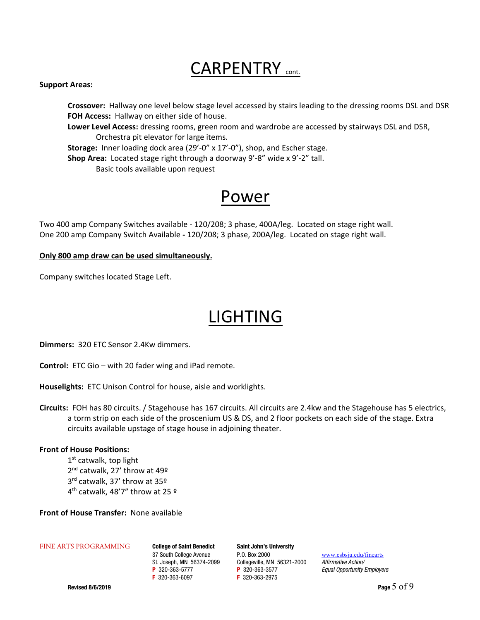## CARPENTRY cont.

#### **Support Areas:**

 **Crossover:** Hallway one level below stage level accessed by stairs leading to the dressing rooms DSL and DSR FOH Access: Hallway on either side of house.

**Lower Level Access:** dressing rooms, green room and wardrobe are accessed by stairways DSL and DSR, Orchestra pit elevator for large items.

**Storage:** Inner loading dock area (29'-0" x 17'-0"), shop, and Escher stage.

Shop Area: Located stage right through a doorway 9'-8" wide x 9'-2" tall. Basic tools available upon request

### Power

Two 400 amp Company Switches available ‐ 120/208; 3 phase, 400A/leg. Located on stage right wall. One 200 amp Company Switch Available **‐** 120/208; 3 phase, 200A/leg. Located on stage right wall.

### **Only 800 amp draw can be used simultaneously.**

Company switches located Stage Left.

## LIGHTING

**Dimmers: 320 ETC Sensor 2.4Kw dimmers.** 

**Control:** ETC Gio – with 20 fader wing and iPad remote.

Houselights: ETC Unison Control for house, aisle and worklights.

**Circuits:** FOH has 80 circuits. / Stagehouse has 167 circuits. All circuits are 2.4kw and the Stagehouse has 5 electrics, a torm strip on each side of the proscenium US & DS, and 2 floor pockets on each side of the stage. Extra circuits available upstage of stage house in adjoining theater.

#### **Front of House Positions:**

1<sup>st</sup> catwalk, top light 2<sup>nd</sup> catwalk, 27' throw at 49<sup>o</sup> 3rd catwalk, 37' throw at 35º 4<sup>th</sup> catwalk, 48'7" throw at 25  $9$ 

**Front of House Transfer: None available** 

#### FINE ARTS PROGRAMMING College of Saint Benedict Saint John's University

37 South College Avenue P.O. Box 2000 www.csbsju.edu/finearts St. Joseph, MN 56374-2099 Collegeville, MN 56321-2000 Affirmative Action/ **P** 320-363-5777 **P** 320-363-3577 **P** 200-363-3577 *Equal Opportunity Employers* **F** 320-363-877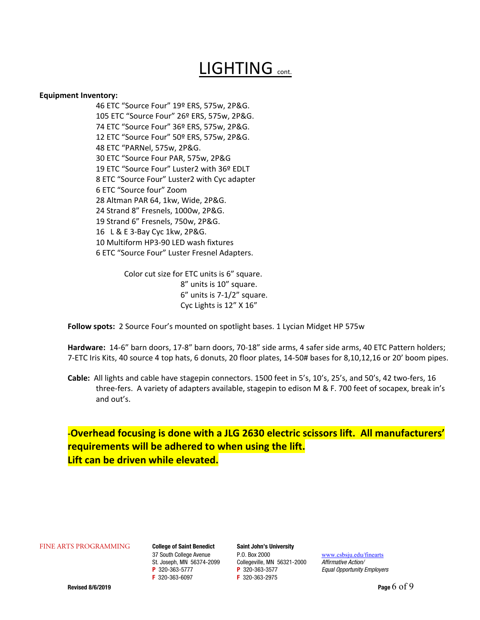## LIGHTING cont.

#### **Equipment Inventory:**

46 ETC "Source Four" 19º ERS, 575w, 2P&G. 105 ETC "Source Four" 26º ERS, 575w, 2P&G. 74 ETC "Source Four" 36º ERS, 575w, 2P&G. 12 ETC "Source Four" 50º ERS, 575w, 2P&G. 48 ETC "PARNel, 575w, 2P&G. 30 ETC "Source Four PAR, 575w, 2P&G 19 ETC "Source Four" Luster2 with 36º EDLT 8 ETC "Source Four" Luster2 with Cyc adapter 6 ETC "Source four" Zoom 28 Altman PAR 64, 1kw, Wide, 2P&G. 24 Strand 8" Fresnels, 1000w, 2P&G. 19 Strand 6" Fresnels, 750w, 2P&G. 16 L & E 3‐Bay Cyc 1kw, 2P&G. 10 Multiform HP3‐90 LED wash fixtures 6 ETC "Source Four" Luster Fresnel Adapters.

> Color cut size for ETC units is 6" square. 8" units is 10" square. 6" units is 7‐1/2" square. Cyc Lights is 12" X 16"

**Follow spots:** 2 Source Four's mounted on spotlight bases. 1 Lycian Midget HP 575w

**Hardware:** 14‐6" barn doors, 17‐8" barn doors, 70‐18" side arms, 4 safer side arms, 40 ETC Pattern holders; 7‐ETC Iris Kits, 40 source 4 top hats, 6 donuts, 20 floor plates, 14‐50# bases for 8,10,12,16 or 20' boom pipes.

**Cable:** All lights and cable have stagepin connectors. 1500 feet in 5's, 10's, 25's, and 50's, 42 two‐fers, 16 three-fers. A variety of adapters available, stagepin to edison M & F. 700 feet of socapex, break in's and out's.

### **‐Overhead focusing is done with a JLG 2630 electric scissors lift. All manufacturers' requirements will be adhered to when using the lift. Lift can be driven while elevated.**

FINE ARTS PROGRAMMING College of Saint Benedict Saint John's University

**P** 320-363-5777 **P** 320-363-3577 **P** 200-363-3577 *Equal Opportunity Employers* **F** 320-363-877

F 320-363-2975

37 South College Avenue P.O. Box 2000 www.csbsju.edu/finearts St. Joseph, MN 56374-2099 Collegeville, MN 56321-2000 Affirmative Action/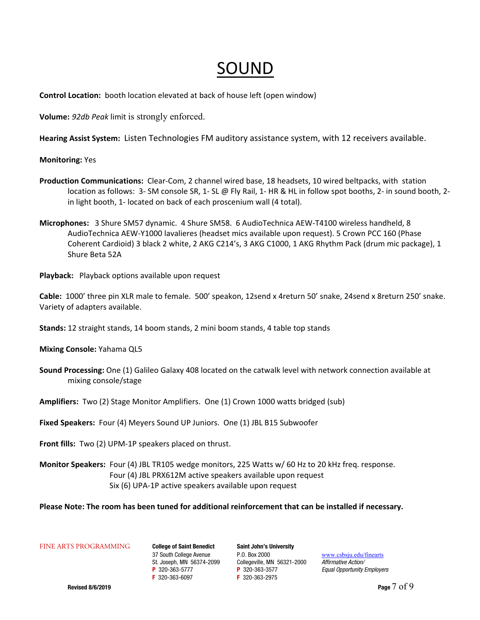## SOUND

**Control Location:** booth location elevated at back of house left (open window)

**Volume:** *92db Peak* limit is strongly enforced.

**Hearing Assist System:** Listen Technologies FM auditory assistance system, with 12 receivers available.

### **Monitoring:** Yes

- **Production Communications:** Clear‐Com, 2 channel wired base, 18 headsets, 10 wired beltpacks, with station location as follows: 3- SM console SR, 1- SL @ Fly Rail, 1- HR & HL in follow spot booths, 2- in sound booth, 2in light booth, 1‐ located on back of each proscenium wall (4 total).
- **Microphones:**  3 Shure SM57 dynamic. 4 Shure SM58. 6 AudioTechnica AEW‐T4100 wireless handheld, 8 AudioTechnica AEW‐Y1000 lavalieres (headset mics available upon request). 5 Crown PCC 160 (Phase Coherent Cardioid) 3 black 2 white, 2 AKG C214's, 3 AKG C1000, 1 AKG Rhythm Pack (drum mic package), 1 Shure Beta 52A

Playback: Playback options available upon request

**Cable:** 1000' three pin XLR male to female. 500' speakon, 12send x 4return 50' snake, 24send x 8return 250' snake. Variety of adapters available.

**Stands:** 12 straight stands, 14 boom stands, 2 mini boom stands, 4 table top stands

**Mixing Console:** Yahama QL5

**Sound Processing:** One (1) Galileo Galaxy 408 located on the catwalk level with network connection available at mixing console/stage

**Amplifiers:** Two (2) Stage Monitor Amplifiers. One (1) Crown 1000 watts bridged (sub)

**Fixed Speakers:** Four (4) Meyers Sound UP Juniors. One (1) JBL B15 Subwoofer

Front fills: Two (2) UPM-1P speakers placed on thrust.

**Monitor Speakers:** Four (4) JBL TR105 wedge monitors, 225 Watts w/ 60 Hz to 20 kHz freq. response. Four (4) JBL PRX612M active speakers available upon request Six (6) UPA‐1P active speakers available upon request

**Please Note: The room has been tuned for additional reinforcement that can be installed if necessary.**

FINE ARTS PROGRAMMING College of Saint Benedict Saint John's University

37 South College Avenue P.O. Box 2000 www.csbsju.edu/finearts St. Joseph, MN 56374-2099 Collegeville, MN 56321-2000 Affirmative Action/ **P** 320-363-5777 **P** 320-363-3577 **P** 200-363-3577 *Equal Opportunity Employers* **F** 320-363-877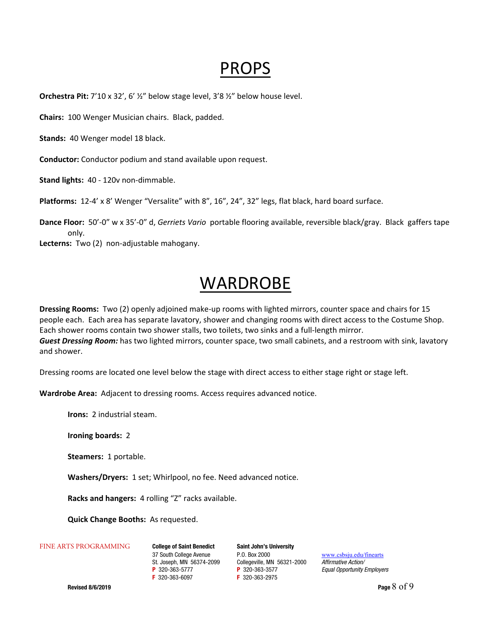## PROPS

**Orchestra Pit:** 7'10 x 32', 6' ½" below stage level, 3'8 ½" below house level.

**Chairs:** 100 Wenger Musician chairs. Black, padded.

Stands: 40 Wenger model 18 black.

**Conductor:** Conductor podium and stand available upon request.

**Stand lights:** 40 ‐ 120v non‐dimmable.

Platforms: 12-4' x 8' Wenger "Versalite" with 8", 16", 24", 32" legs, flat black, hard board surface.

**Dance Floor:** 50'‐0" w x 35'‐0" d, *Gerriets Vario*  portable flooring available, reversible black/gray. Black gaffers tape only.

Lecterns: Two (2) non-adjustable mahogany.

### WARDROBE

**Dressing Rooms:** Two (2) openly adjoined make‐up rooms with lighted mirrors, counter space and chairs for 15 people each. Each area has separate lavatory, shower and changing rooms with direct access to the Costume Shop. Each shower rooms contain two shower stalls, two toilets, two sinks and a full‐length mirror. *Guest Dressing Room:* has two lighted mirrors, counter space, two small cabinets, and a restroom with sink, lavatory and shower.

Dressing rooms are located one level below the stage with direct access to either stage right or stage left.

Wardrobe Area: Adjacent to dressing rooms. Access requires advanced notice.

**Irons:**  2 industrial steam.

**Ironing boards:** 2

**Steamers: 1 portable.** 

Washers/Dryers: 1 set; Whirlpool, no fee. Need advanced notice.

Racks and hangers: 4 rolling "Z" racks available.

**Quick Change Booths: As requested.** 

#### FINE ARTS PROGRAMMING College of Saint Benedict Saint John's University

37 South College Avenue P.O. Box 2000 www.csbsju.edu/finearts St. Joseph, MN 56374-2099 Collegeville, MN 56321-2000 Affirmative Action/ **P** 320-363-5777 **P** 320-363-3577 **P** 200-363-3577 *Equal Opportunity Employers* **F** 320-363-877